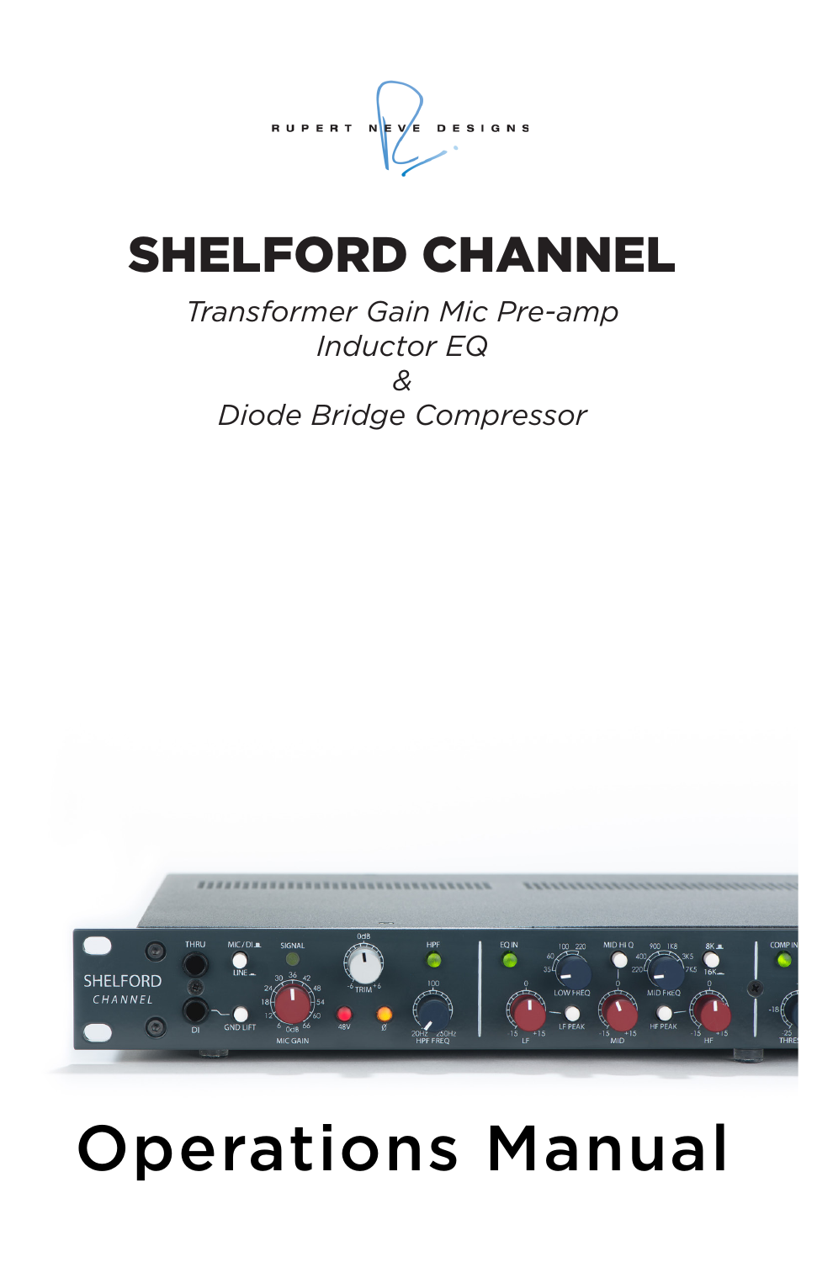

# SHELFORD CHANNEL

# *Transformer Gain Mic Pre-amp Inductor EQ & Diode Bridge Compressor*



# Operations Manual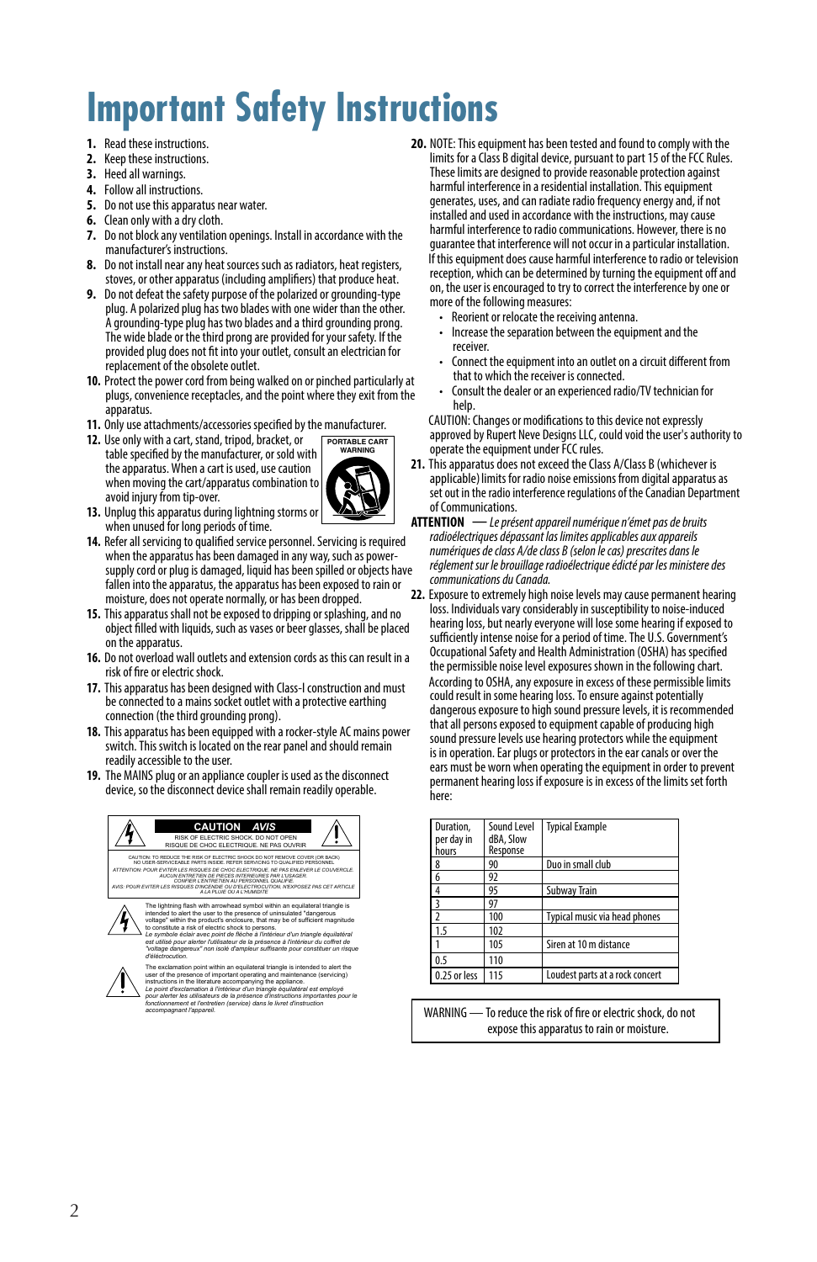# **Important Safety Instructions**

- **1.** Read these instructions.
- **2.** Keep these instructions.
- **3.** Heed all warnings.
- **4.** Follow all instructions.
- **5.** Do not use this apparatus near water.
- **6.** Clean only with a dry cloth.
- **7.** Do not block any ventilation openings. Install in accordance with the manufacturer's instructions.
- **8.** Do not install near any heat sources such as radiators, heat registers, stoves, or other apparatus (including amplifiers) that produce heat.
- **9.** Do not defeat the safety purpose of the polarized or grounding-type A grounding-type plug has two blades and a third grounding prong. The wide blade or the third prong are provided for your safety. If the provided plug does not fit into your outlet, consult an electrician for replacement of the obsolete outlet.
- **10.** Protect the power cord from being walked on or pinched particularly at plugs, convenience receptacles, and the point where they exit from the apparatus.
- **11.** Only use attachments/accessories specified by the manufacturer.
- **12.** Use only with a cart, stand, tripod, bracket, or table specified by the manufacturer, or sold with the apparatus. When a cart is used, use caution when moving the cart/apparatus combination to avoid injury from tip-over.



- **13.** Unplug this apparatus during lightning storms or when unused for long periods of time.
- **14.** Refer all servicing to qualified service personnel. Servicing is required when the apparatus has been damaged in any way, such as powersupply cord or plug is damaged, liquid has been spilled or objects have fallen into the apparatus, the apparatus has been exposed to rain or moisture, does not operate normally, or has been dropped.
- **15.** This apparatus shall not be exposed to dripping or splashing, and no object filled with liquids, such as vases or beer glasses, shall be placed on the apparatus.
- **16.** Do not overload wall outlets and extension cords as this can result in a risk of fire or electric shock.
- **17.** This apparatus has been designed with Class-I construction and must be connected to a mains socket outlet with a protective earthing connection (the third grounding prong).
- **18.** This apparatus has been equipped with a rocker-style AC mains power switch. This switch is located on the rear panel and should remain readily accessible to the user.
- **19.** The MAINS plug or an appliance coupler is used as the disconnect device, so the disconnect device shall remain readily operable.



*Le symbole éclair avec point de flèche à l'intérieur d'un triangle équilatéral est utilisé pour alerter l'utilisateur de la présence à l'intérieur du coffret de "voltage dangereux" non isolé d'ampleur suffisante pour constituer un risque d'éléctrocution.*



The explicit within an equilateral exclamation point within an equilateral extrinsic the distribution of the single line of the single line of the single line of the single line of the single line of the single line of the user of the presence of important operating and maintenance (servicing)<br>instructions in the literature accompanying the appliance.<br>Le point d'exclamation à l'intérieur d'un triangle équilatéral est employé<br>pour alerter les

- **20.** NOTE: This equipment has been tested and found to comply with the limits for a Class B digital device, pursuant to part 15 of the FCC Rules. These limits are designed to provide reasonable protection against harmful interference in a residential installation. This equipment generates, uses, and can radiate radio frequency energy and, if not installed and used in accordance with the instructions, may cause harmful interference to radio communications. However, there is no guarantee that interference will not occur in a particular installation. If this equipment does cause harmful interference to radio or television reception, which can be determined by turning the equipment off and on, the user is encouraged to try to correct the interference by one or more of the following measures:
	- Reorient or relocate the receiving antenna.
	- Increase the separation between the equipment and the receiver.
	- Connect the equipment into an outlet on a circuit different from that to which the receiver is connected.
	- Consult the dealer or an experienced radio/TV technician for help.

CAUTION: Changes or modifications to this device not expressly approved by Rupert Neve Designs LLC, could void the user's authority to operate the equipment under FCC rules.

- **21.** This apparatus does not exceed the Class A/Class B (whichever is applicable) limits for radio noise emissions from digital apparatus as set out in the radio interference regulations of the Canadian Department of Communications.
- **ATTENTION** *Le présent appareil numérique n'émet pas de bruits radioélectriques dépassant las limites applicables aux appareils numériques de class A/de class B (selon le cas) prescrites dans le réglement sur le brouillage radioélectrique édicté par les ministere des communications du Canada.*
- **22.** Exposure to extremely high noise levels may cause permanent hearing loss. Individuals vary considerably in susceptibility to noise-induced hearing loss, but nearly everyone will lose some hearing if exposed to Occupational Safety and Health Administration (OSHA) has specified the permissible noise level exposures shown in the following chart. According to OSHA, any exposure in excess of these permissible limits could result in some hearing loss. To ensure against potentially dangerous exposure to high sound pressure levels, it is recommended that all persons exposed to equipment capable of producing high sound pressure levels use hearing protectors while the equipment is in operation. Ear plugs or protectors in the ear canals or over the ears must be worn when operating the equipment in order to prevent permanent hearing loss if exposure is in excess of the limits set forth here:

| Duration.<br>per day in<br>hours | Sound Level<br>dBA, Slow<br>Response | <b>Typical Example</b>          |
|----------------------------------|--------------------------------------|---------------------------------|
| 8                                | 90                                   | Duo in small club               |
| 6                                | 92                                   |                                 |
|                                  | 95                                   | Subway Train                    |
|                                  | 97                                   |                                 |
|                                  | 100                                  | Typical music via head phones   |
| 1.5                              | 102                                  |                                 |
|                                  | 105                                  | Siren at 10 m distance          |
| 0.5                              | 110                                  |                                 |
| 0.25 or less                     | 115                                  | Loudest parts at a rock concert |

WARNING — To reduce the risk of fire or electric shock, do not expose this apparatus to rain or moisture.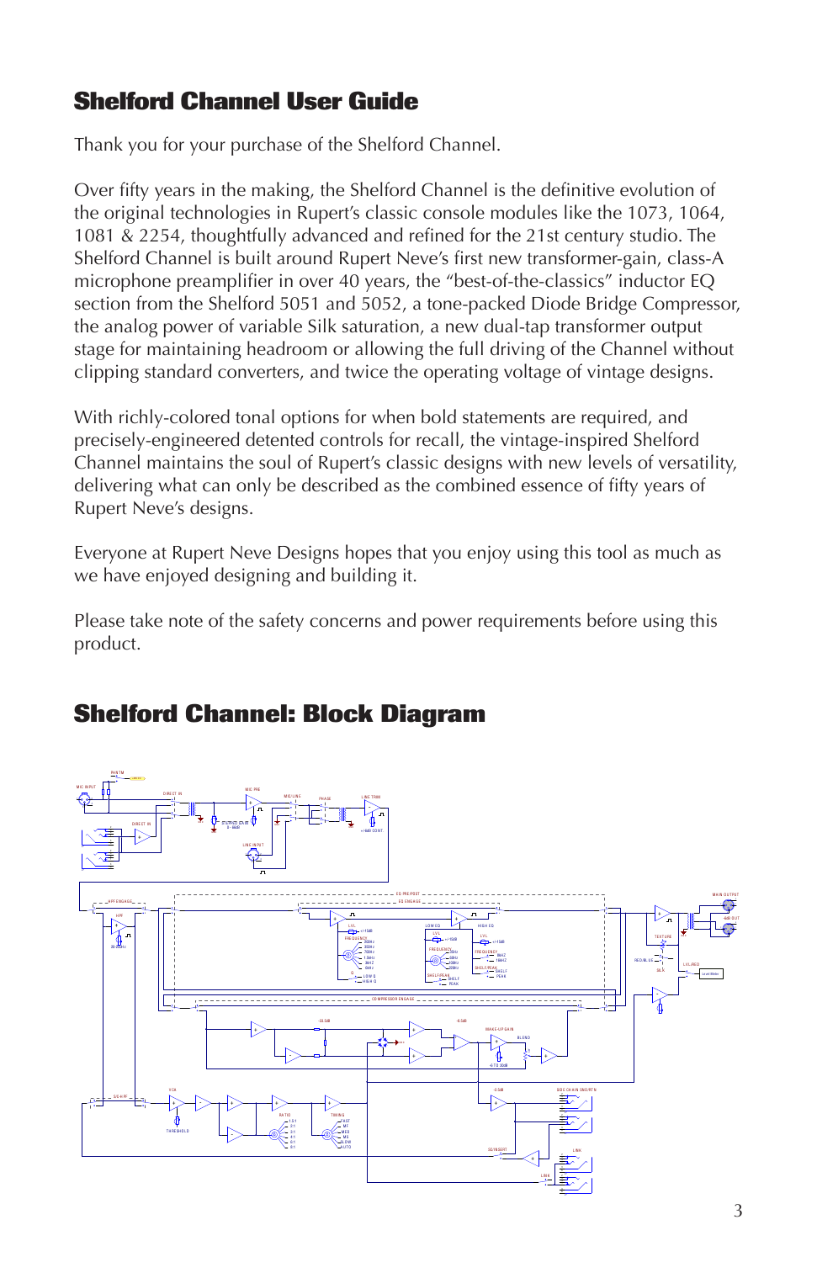# **Shelford Channel User Guide**

Thank you for your purchase of the Shelford Channel.

Over fifty years in the making, the Shelford Channel is the definitive evolution of the original technologies in Rupert's classic console modules like the 1073, 1064, 1081 & 2254, thoughtfully advanced and refined for the 21st century studio. The Shelford Channel is built around Rupert Neve's first new transformer-gain, class-A microphone preamplifier in over 40 years, the "best-of-the-classics" inductor EQ section from the Shelford 5051 and 5052, a tone-packed Diode Bridge Compressor, the analog power of variable Silk saturation, a new dual-tap transformer output stage for maintaining headroom or allowing the full driving of the Channel without clipping standard converters, and twice the operating voltage of vintage designs.

With richly-colored tonal options for when bold statements are required, and precisely-engineered detented controls for recall, the vintage-inspired Shelford Channel maintains the soul of Rupert's classic designs with new levels of versatility, delivering what can only be described as the combined essence of fifty years of Rupert Neve's designs.

Everyone at Rupert Neve Designs hopes that you enjoy using this tool as much as we have enjoyed designing and building it.

Please take note of the safety concerns and power requirements before using this product.



# **Shelford Channel: Block Diagram**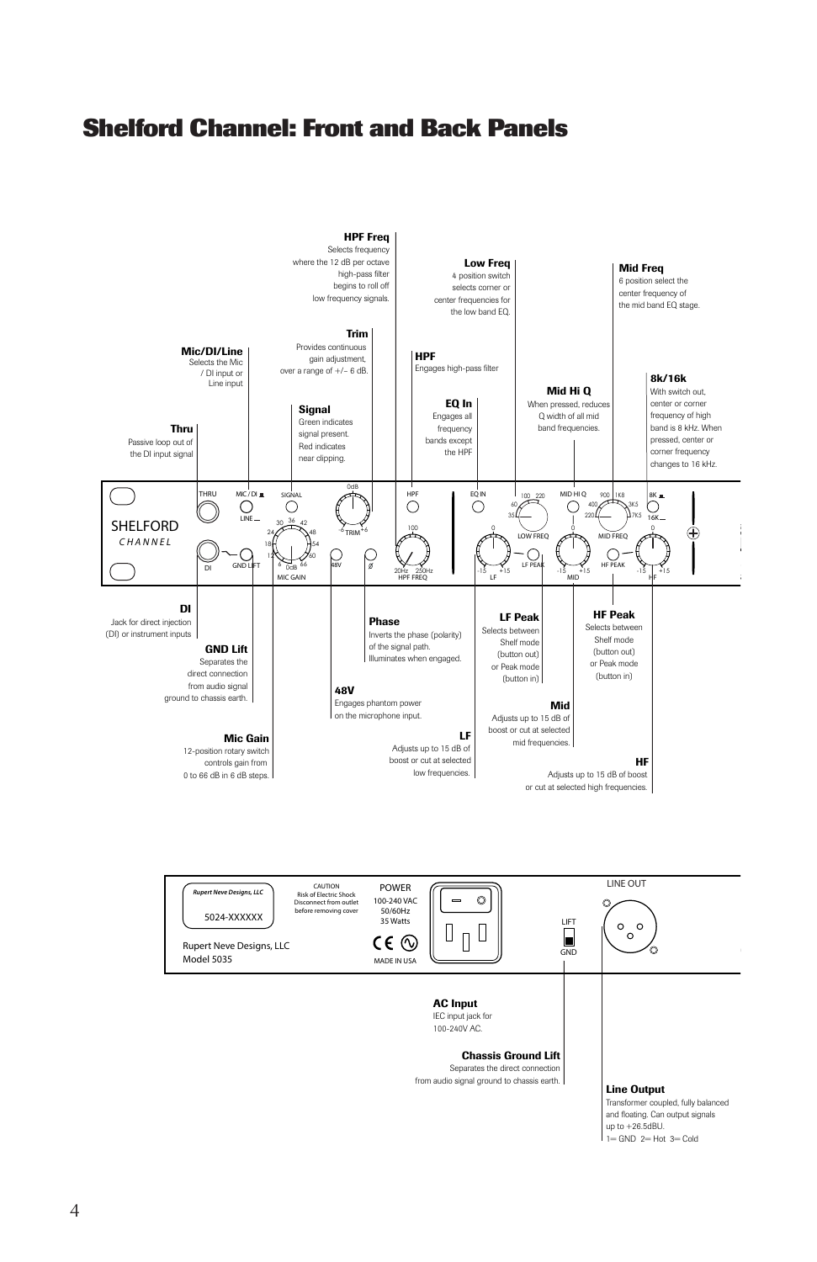### **Shelford Channel: Front and Back Panels**





 $1 =$  GND  $2 =$  Hot  $3 =$  Cold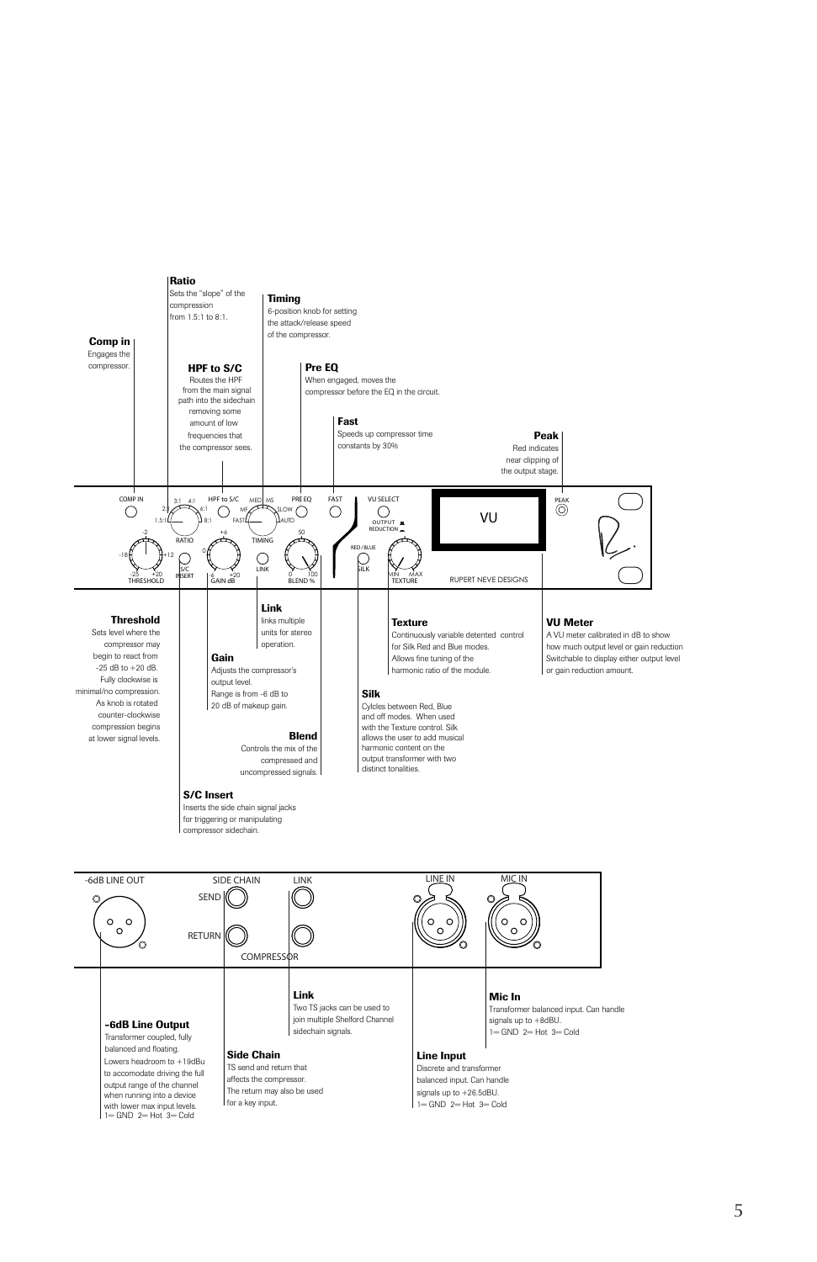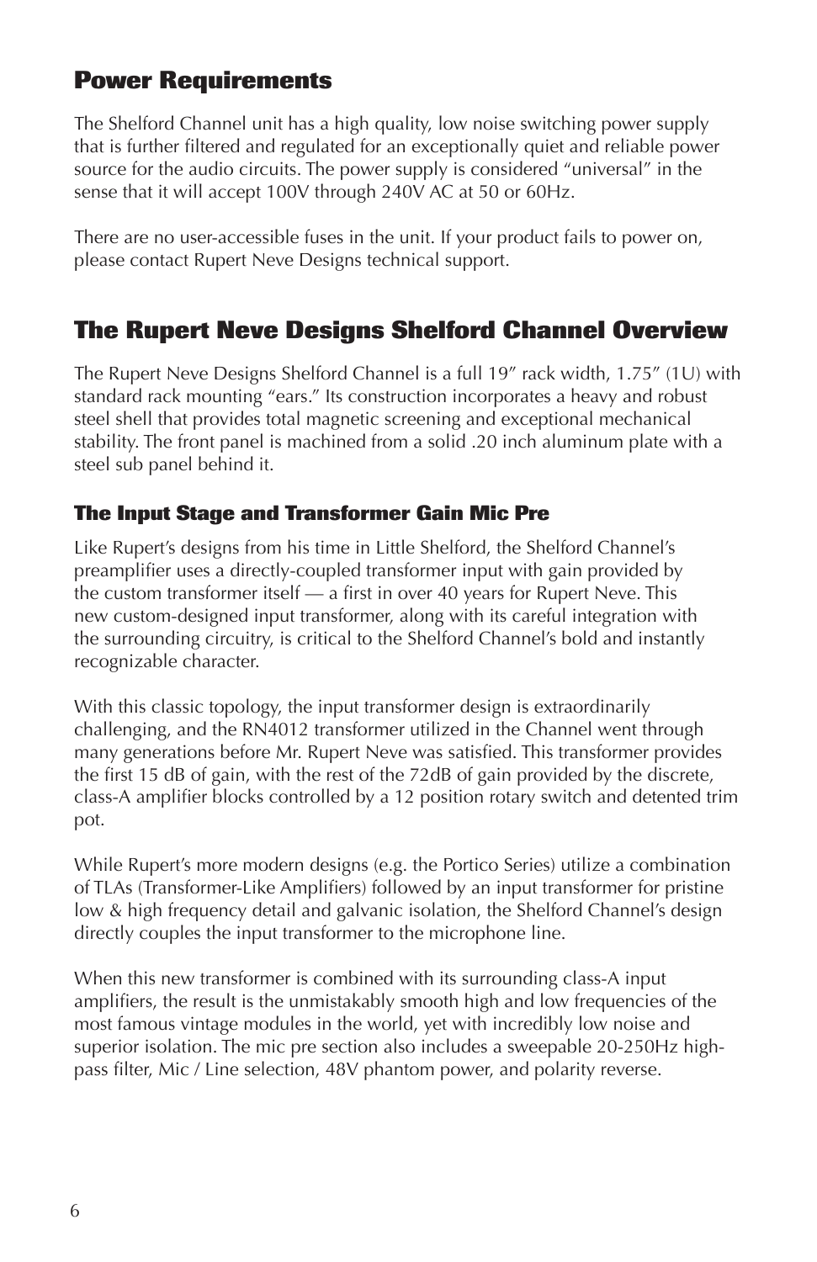# **Power Requirements**

The Shelford Channel unit has a high quality, low noise switching power supply that is further filtered and regulated for an exceptionally quiet and reliable power source for the audio circuits. The power supply is considered "universal" in the sense that it will accept 100V through 240V AC at 50 or 60Hz.

There are no user-accessible fuses in the unit. If your product fails to power on, please contact Rupert Neve Designs technical support.

# **The Rupert Neve Designs Shelford Channel Overview**

The Rupert Neve Designs Shelford Channel is a full 19" rack width, 1.75" (1U) with standard rack mounting "ears." Its construction incorporates a heavy and robust steel shell that provides total magnetic screening and exceptional mechanical stability. The front panel is machined from a solid .20 inch aluminum plate with a steel sub panel behind it.

#### **The Input Stage and Transformer Gain Mic Pre**

Like Rupert's designs from his time in Little Shelford, the Shelford Channel's preamplifier uses a directly-coupled transformer input with gain provided by the custom transformer itself — a first in over 40 years for Rupert Neve. This new custom-designed input transformer, along with its careful integration with the surrounding circuitry, is critical to the Shelford Channel's bold and instantly recognizable character.

With this classic topology, the input transformer design is extraordinarily challenging, and the RN4012 transformer utilized in the Channel went through many generations before Mr. Rupert Neve was satisfied. This transformer provides the first 15 dB of gain, with the rest of the 72dB of gain provided by the discrete, class-A amplifier blocks controlled by a 12 position rotary switch and detented trim pot.

While Rupert's more modern designs (e.g. the Portico Series) utilize a combination of TLAs (Transformer-Like Amplifiers) followed by an input transformer for pristine low & high frequency detail and galvanic isolation, the Shelford Channel's design directly couples the input transformer to the microphone line.

When this new transformer is combined with its surrounding class-A input amplifiers, the result is the unmistakably smooth high and low frequencies of the most famous vintage modules in the world, yet with incredibly low noise and superior isolation. The mic pre section also includes a sweepable 20-250Hz highpass filter, Mic / Line selection, 48V phantom power, and polarity reverse.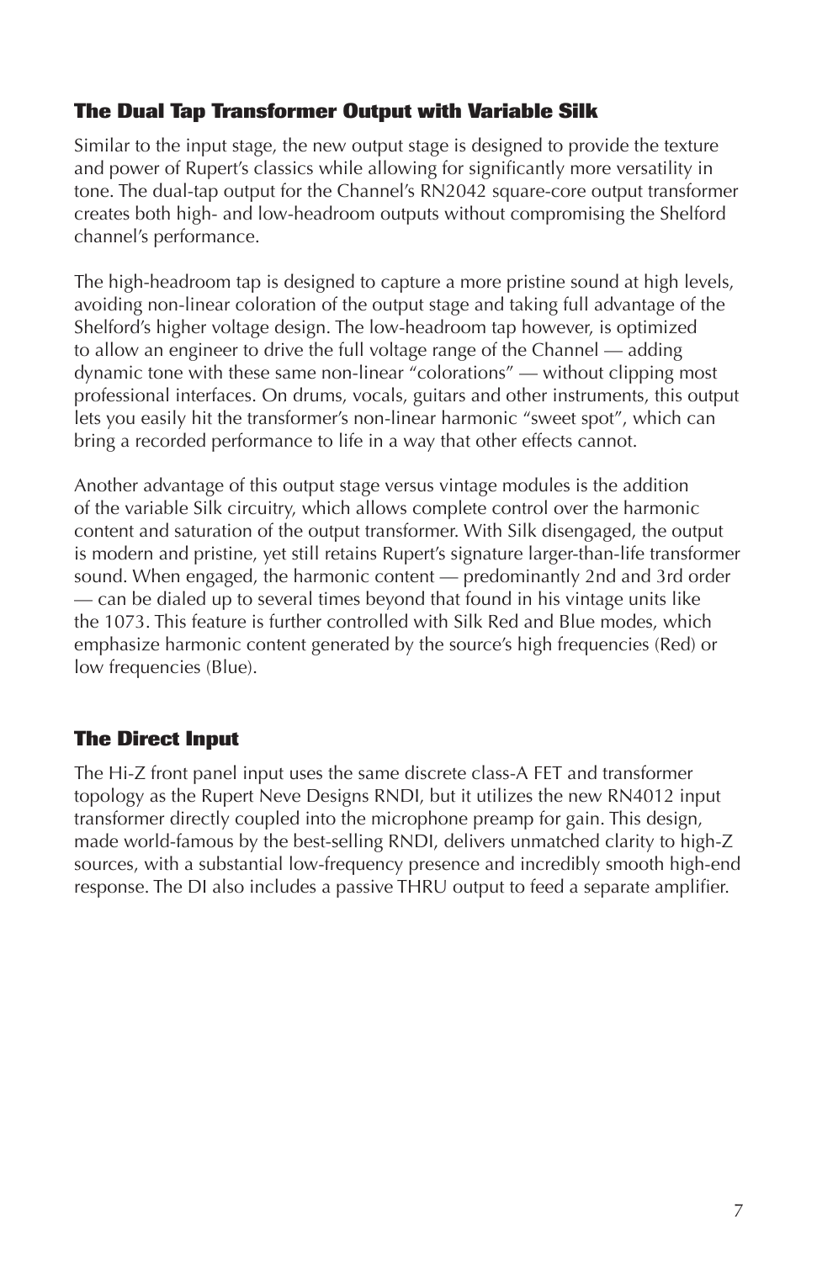#### **The Dual Tap Transformer Output with Variable Silk**

Similar to the input stage, the new output stage is designed to provide the texture and power of Rupert's classics while allowing for significantly more versatility in tone. The dual-tap output for the Channel's RN2042 square-core output transformer creates both high- and low-headroom outputs without compromising the Shelford channel's performance.

The high-headroom tap is designed to capture a more pristine sound at high levels, avoiding non-linear coloration of the output stage and taking full advantage of the Shelford's higher voltage design. The low-headroom tap however, is optimized to allow an engineer to drive the full voltage range of the Channel — adding dynamic tone with these same non-linear "colorations" — without clipping most professional interfaces. On drums, vocals, guitars and other instruments, this output lets you easily hit the transformer's non-linear harmonic "sweet spot", which can bring a recorded performance to life in a way that other effects cannot.

Another advantage of this output stage versus vintage modules is the addition of the variable Silk circuitry, which allows complete control over the harmonic content and saturation of the output transformer. With Silk disengaged, the output is modern and pristine, yet still retains Rupert's signature larger-than-life transformer sound. When engaged, the harmonic content — predominantly 2nd and 3rd order — can be dialed up to several times beyond that found in his vintage units like the 1073. This feature is further controlled with Silk Red and Blue modes, which emphasize harmonic content generated by the source's high frequencies (Red) or low frequencies (Blue).

#### **The Direct Input**

The Hi-Z front panel input uses the same discrete class-A FET and transformer topology as the Rupert Neve Designs RNDI, but it utilizes the new RN4012 input transformer directly coupled into the microphone preamp for gain. This design, made world-famous by the best-selling RNDI, delivers unmatched clarity to high-Z sources, with a substantial low-frequency presence and incredibly smooth high-end response. The DI also includes a passive THRU output to feed a separate amplifier.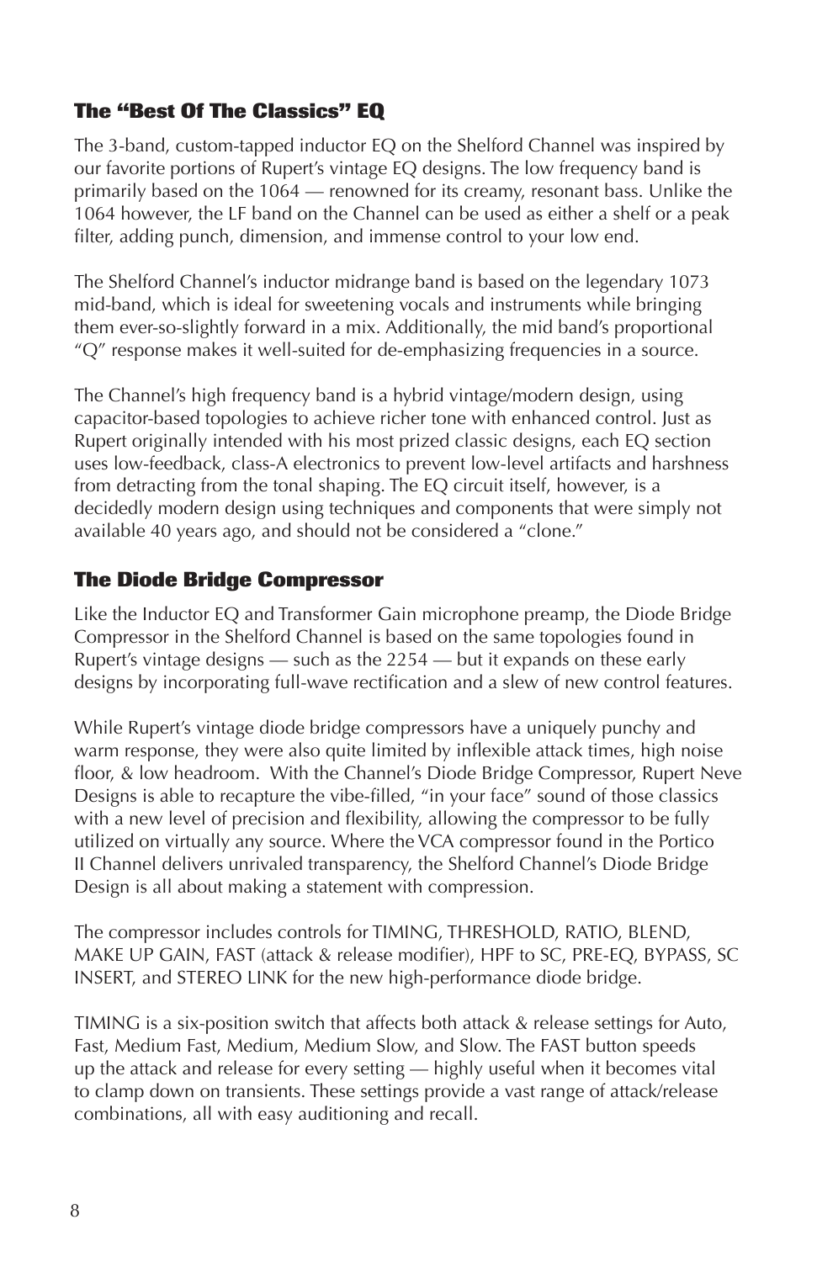#### **The "Best Of The Classics" EQ**

The 3-band, custom-tapped inductor EQ on the Shelford Channel was inspired by our favorite portions of Rupert's vintage EQ designs. The low frequency band is primarily based on the 1064 — renowned for its creamy, resonant bass. Unlike the 1064 however, the LF band on the Channel can be used as either a shelf or a peak filter, adding punch, dimension, and immense control to your low end.

The Shelford Channel's inductor midrange band is based on the legendary 1073 mid-band, which is ideal for sweetening vocals and instruments while bringing them ever-so-slightly forward in a mix. Additionally, the mid band's proportional "Q" response makes it well-suited for de-emphasizing frequencies in a source.

The Channel's high frequency band is a hybrid vintage/modern design, using capacitor-based topologies to achieve richer tone with enhanced control. Just as Rupert originally intended with his most prized classic designs, each EQ section uses low-feedback, class-A electronics to prevent low-level artifacts and harshness from detracting from the tonal shaping. The EQ circuit itself, however, is a decidedly modern design using techniques and components that were simply not available 40 years ago, and should not be considered a "clone."

#### **The Diode Bridge Compressor**

Like the Inductor EQ and Transformer Gain microphone preamp, the Diode Bridge Compressor in the Shelford Channel is based on the same topologies found in Rupert's vintage designs — such as the 2254 — but it expands on these early designs by incorporating full-wave rectification and a slew of new control features.

While Rupert's vintage diode bridge compressors have a uniquely punchy and warm response, they were also quite limited by inflexible attack times, high noise floor, & low headroom. With the Channel's Diode Bridge Compressor, Rupert Neve Designs is able to recapture the vibe-filled, "in your face" sound of those classics with a new level of precision and flexibility, allowing the compressor to be fully utilized on virtually any source. Where the VCA compressor found in the Portico II Channel delivers unrivaled transparency, the Shelford Channel's Diode Bridge Design is all about making a statement with compression.

The compressor includes controls for TIMING, THRESHOLD, RATIO, BLEND, MAKE UP GAIN, FAST (attack & release modifier), HPF to SC, PRE-EQ, BYPASS, SC INSERT, and STEREO LINK for the new high-performance diode bridge.

TIMING is a six-position switch that affects both attack & release settings for Auto, Fast, Medium Fast, Medium, Medium Slow, and Slow. The FAST button speeds up the attack and release for every setting — highly useful when it becomes vital to clamp down on transients. These settings provide a vast range of attack/release combinations, all with easy auditioning and recall.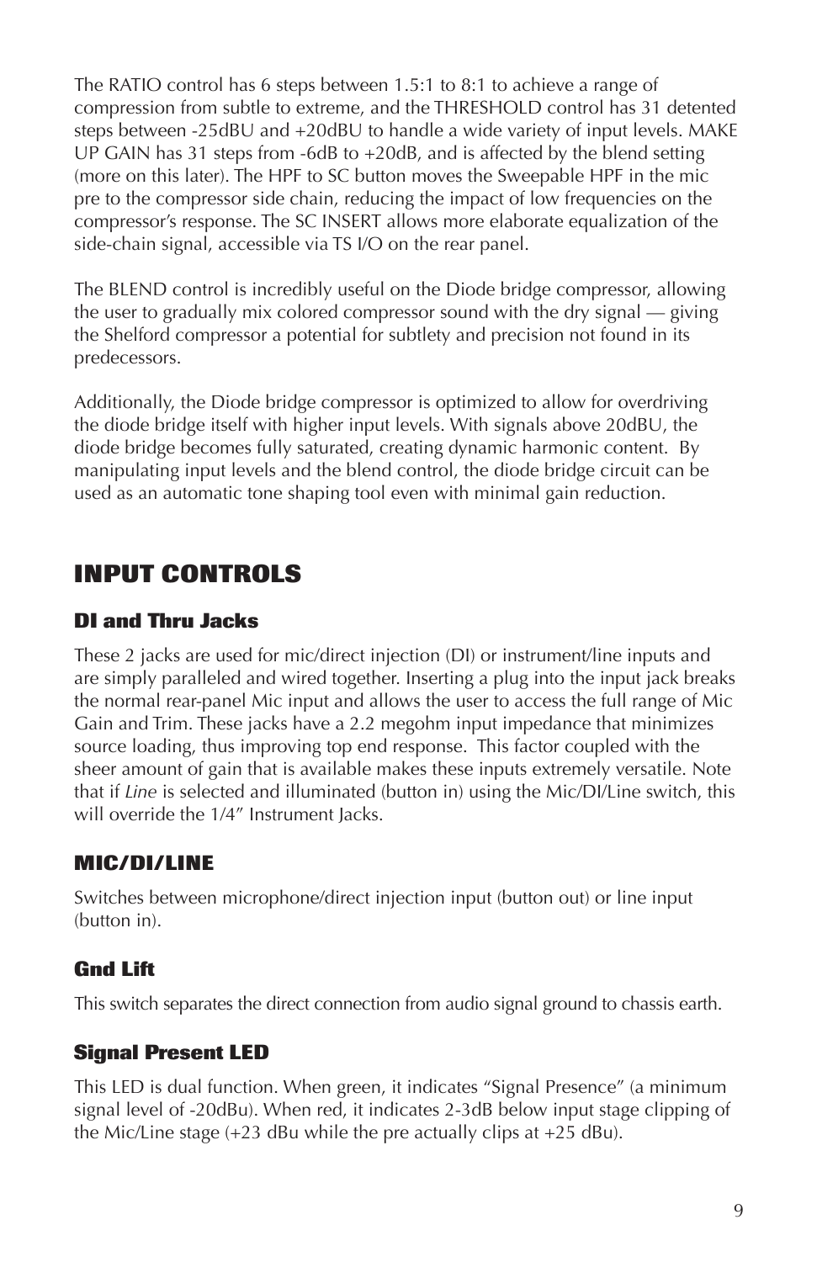The RATIO control has 6 steps between 1.5:1 to 8:1 to achieve a range of compression from subtle to extreme, and the THRESHOLD control has 31 detented steps between -25dBU and +20dBU to handle a wide variety of input levels. MAKE UP GAIN has 31 steps from -6dB to +20dB, and is affected by the blend setting (more on this later). The HPF to SC button moves the Sweepable HPF in the mic pre to the compressor side chain, reducing the impact of low frequencies on the compressor's response. The SC INSERT allows more elaborate equalization of the side-chain signal, accessible via TS I/O on the rear panel.

The BLEND control is incredibly useful on the Diode bridge compressor, allowing the user to gradually mix colored compressor sound with the dry signal — giving the Shelford compressor a potential for subtlety and precision not found in its predecessors.

Additionally, the Diode bridge compressor is optimized to allow for overdriving the diode bridge itself with higher input levels. With signals above 20dBU, the diode bridge becomes fully saturated, creating dynamic harmonic content. By manipulating input levels and the blend control, the diode bridge circuit can be used as an automatic tone shaping tool even with minimal gain reduction.

# **INPUT CONTROLS**

#### **DI and Thru Jacks**

These 2 jacks are used for mic/direct injection (DI) or instrument/line inputs and are simply paralleled and wired together. Inserting a plug into the input jack breaks the normal rear-panel Mic input and allows the user to access the full range of Mic Gain and Trim. These jacks have a 2.2 megohm input impedance that minimizes source loading, thus improving top end response. This factor coupled with the sheer amount of gain that is available makes these inputs extremely versatile. Note that if *Line* is selected and illuminated (button in) using the Mic/DI/Line switch, this will override the 1/4" Instrument Jacks.

#### **MIC/DI/LINE**

Switches between microphone/direct injection input (button out) or line input (button in).

#### **Gnd Lift**

This switch separates the direct connection from audio signal ground to chassis earth.

#### **Signal Present LED**

This LED is dual function. When green, it indicates "Signal Presence" (a minimum signal level of -20dBu). When red, it indicates 2-3dB below input stage clipping of the Mic/Line stage  $(+23$  dBu while the pre actually clips at  $+25$  dBu).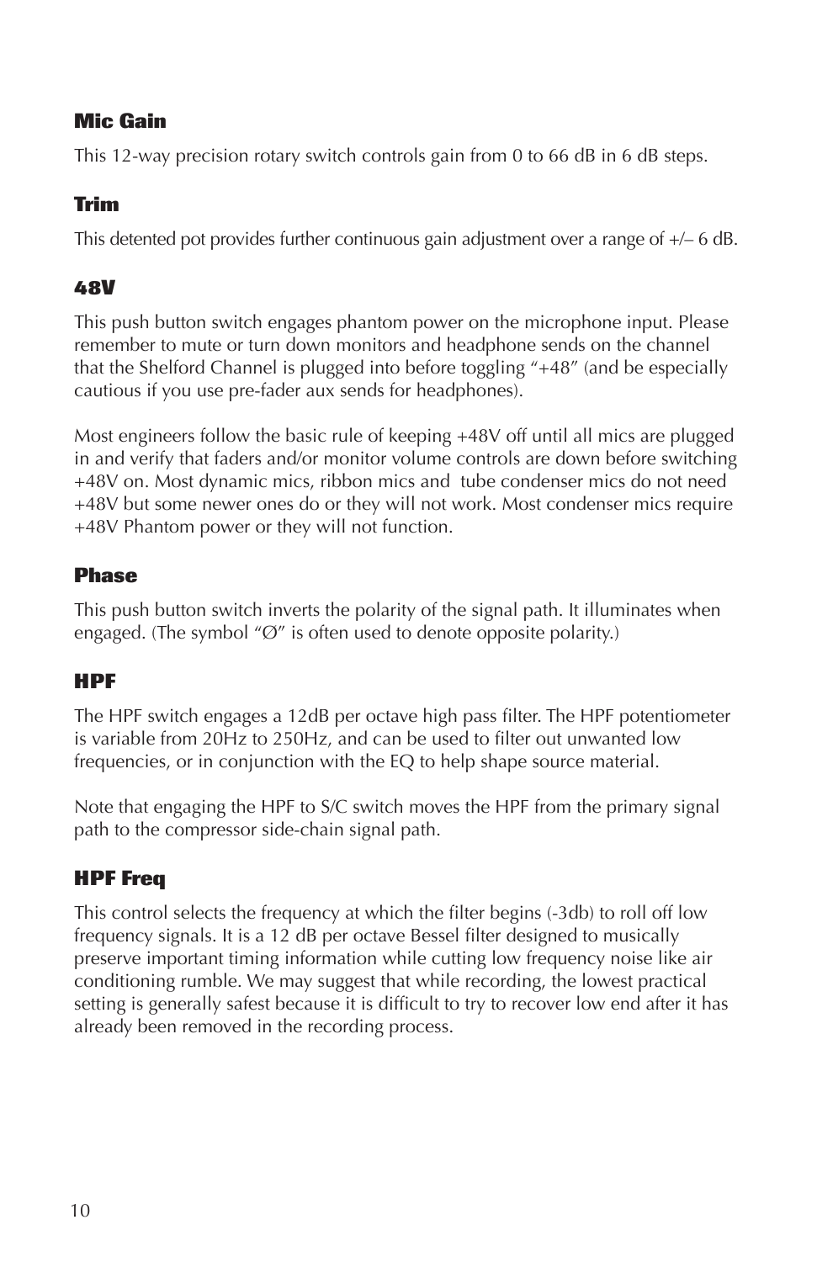#### **Mic Gain**

This 12-way precision rotary switch controls gain from 0 to 66 dB in 6 dB steps.

#### **Trim**

This detented pot provides further continuous gain adjustment over a range of +/– 6 dB.

#### **48V**

This push button switch engages phantom power on the microphone input. Please remember to mute or turn down monitors and headphone sends on the channel that the Shelford Channel is plugged into before toggling "+48" (and be especially cautious if you use pre-fader aux sends for headphones).

Most engineers follow the basic rule of keeping +48V off until all mics are plugged in and verify that faders and/or monitor volume controls are down before switching +48V on. Most dynamic mics, ribbon mics and tube condenser mics do not need +48V but some newer ones do or they will not work. Most condenser mics require +48V Phantom power or they will not function.

#### **Phase**

This push button switch inverts the polarity of the signal path. It illuminates when engaged. (The symbol "Ø" is often used to denote opposite polarity.)

#### **HPF**

The HPF switch engages a 12dB per octave high pass filter. The HPF potentiometer is variable from 20Hz to 250Hz, and can be used to filter out unwanted low frequencies, or in conjunction with the EQ to help shape source material.

Note that engaging the HPF to S/C switch moves the HPF from the primary signal path to the compressor side-chain signal path.

#### **HPF Freq**

This control selects the frequency at which the filter begins (-3db) to roll off low frequency signals. It is a 12 dB per octave Bessel filter designed to musically preserve important timing information while cutting low frequency noise like air conditioning rumble. We may suggest that while recording, the lowest practical setting is generally safest because it is difficult to try to recover low end after it has already been removed in the recording process.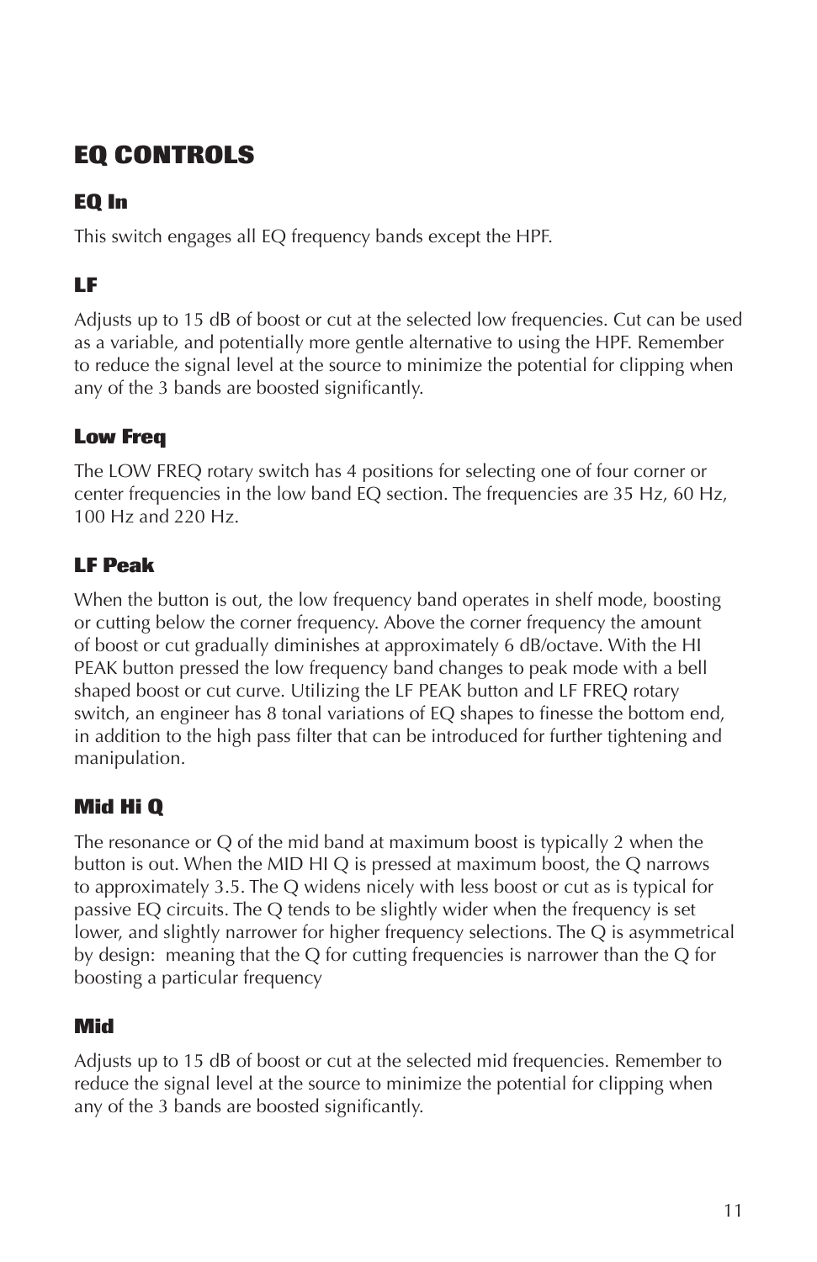# **EQ CONTROLS**

#### **EQ In**

This switch engages all EQ frequency bands except the HPF.

# **LF**

Adjusts up to 15 dB of boost or cut at the selected low frequencies. Cut can be used as a variable, and potentially more gentle alternative to using the HPF. Remember to reduce the signal level at the source to minimize the potential for clipping when any of the 3 bands are boosted significantly.

#### **Low Freq**

The LOW FREQ rotary switch has 4 positions for selecting one of four corner or center frequencies in the low band EQ section. The frequencies are 35 Hz, 60 Hz, 100 Hz and 220 Hz.

#### **LF Peak**

When the button is out, the low frequency band operates in shelf mode, boosting or cutting below the corner frequency. Above the corner frequency the amount of boost or cut gradually diminishes at approximately 6 dB/octave. With the HI PEAK button pressed the low frequency band changes to peak mode with a bell shaped boost or cut curve. Utilizing the LF PEAK button and LF FREQ rotary switch, an engineer has 8 tonal variations of EQ shapes to finesse the bottom end, in addition to the high pass filter that can be introduced for further tightening and manipulation.

#### **Mid Hi Q**

The resonance or Q of the mid band at maximum boost is typically 2 when the button is out. When the MID HI Q is pressed at maximum boost, the Q narrows to approximately 3.5. The Q widens nicely with less boost or cut as is typical for passive EQ circuits. The Q tends to be slightly wider when the frequency is set lower, and slightly narrower for higher frequency selections. The Q is asymmetrical by design: meaning that the Q for cutting frequencies is narrower than the Q for boosting a particular frequency

#### **Mid**

Adjusts up to 15 dB of boost or cut at the selected mid frequencies. Remember to reduce the signal level at the source to minimize the potential for clipping when any of the 3 bands are boosted significantly.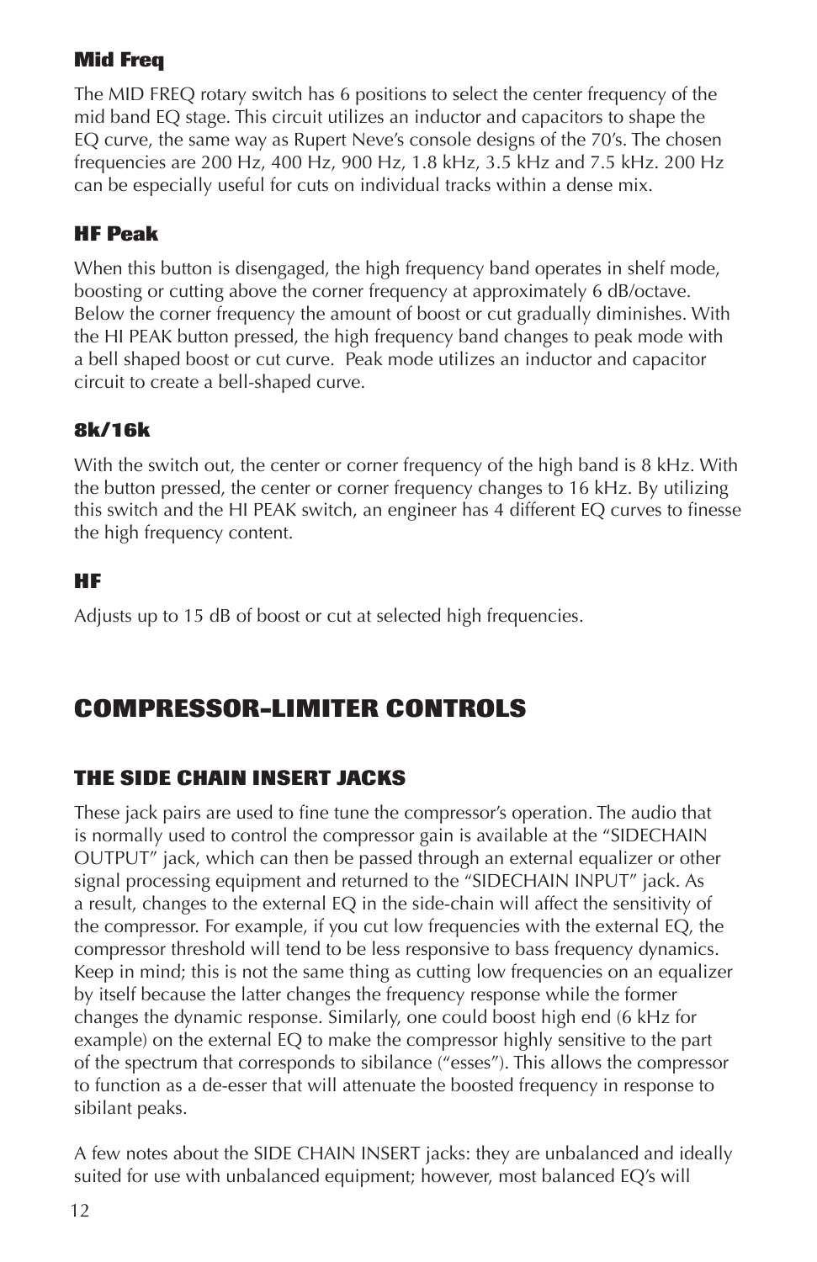#### **Mid Freq**

The MID FREQ rotary switch has 6 positions to select the center frequency of the mid band EQ stage. This circuit utilizes an inductor and capacitors to shape the EQ curve, the same way as Rupert Neve's console designs of the 70's. The chosen frequencies are 200 Hz, 400 Hz, 900 Hz, 1.8 kHz, 3.5 kHz and 7.5 kHz. 200 Hz can be especially useful for cuts on individual tracks within a dense mix.

#### **HF Peak**

When this button is disengaged, the high frequency band operates in shelf mode, boosting or cutting above the corner frequency at approximately 6 dB/octave. Below the corner frequency the amount of boost or cut gradually diminishes. With the HI PEAK button pressed, the high frequency band changes to peak mode with a bell shaped boost or cut curve. Peak mode utilizes an inductor and capacitor circuit to create a bell-shaped curve.

#### **8k/16k**

With the switch out, the center or corner frequency of the high band is 8 kHz. With the button pressed, the center or corner frequency changes to 16 kHz. By utilizing this switch and the HI PEAK switch, an engineer has 4 different EQ curves to finesse the high frequency content.

#### **HF**

Adjusts up to 15 dB of boost or cut at selected high frequencies.

# **COMPRESSOR-LIMITER CONTROLS**

#### **THE SIDE CHAIN INSERT JACKS**

These jack pairs are used to fine tune the compressor's operation. The audio that is normally used to control the compressor gain is available at the "SIDECHAIN OUTPUT" jack, which can then be passed through an external equalizer or other signal processing equipment and returned to the "SIDECHAIN INPUT" jack. As a result, changes to the external EQ in the side-chain will affect the sensitivity of the compressor. For example, if you cut low frequencies with the external EQ, the compressor threshold will tend to be less responsive to bass frequency dynamics. Keep in mind; this is not the same thing as cutting low frequencies on an equalizer by itself because the latter changes the frequency response while the former changes the dynamic response. Similarly, one could boost high end (6 kHz for example) on the external EQ to make the compressor highly sensitive to the part of the spectrum that corresponds to sibilance ("esses"). This allows the compressor to function as a de-esser that will attenuate the boosted frequency in response to sibilant peaks.

A few notes about the SIDE CHAIN INSERT jacks: they are unbalanced and ideally suited for use with unbalanced equipment; however, most balanced EQ's will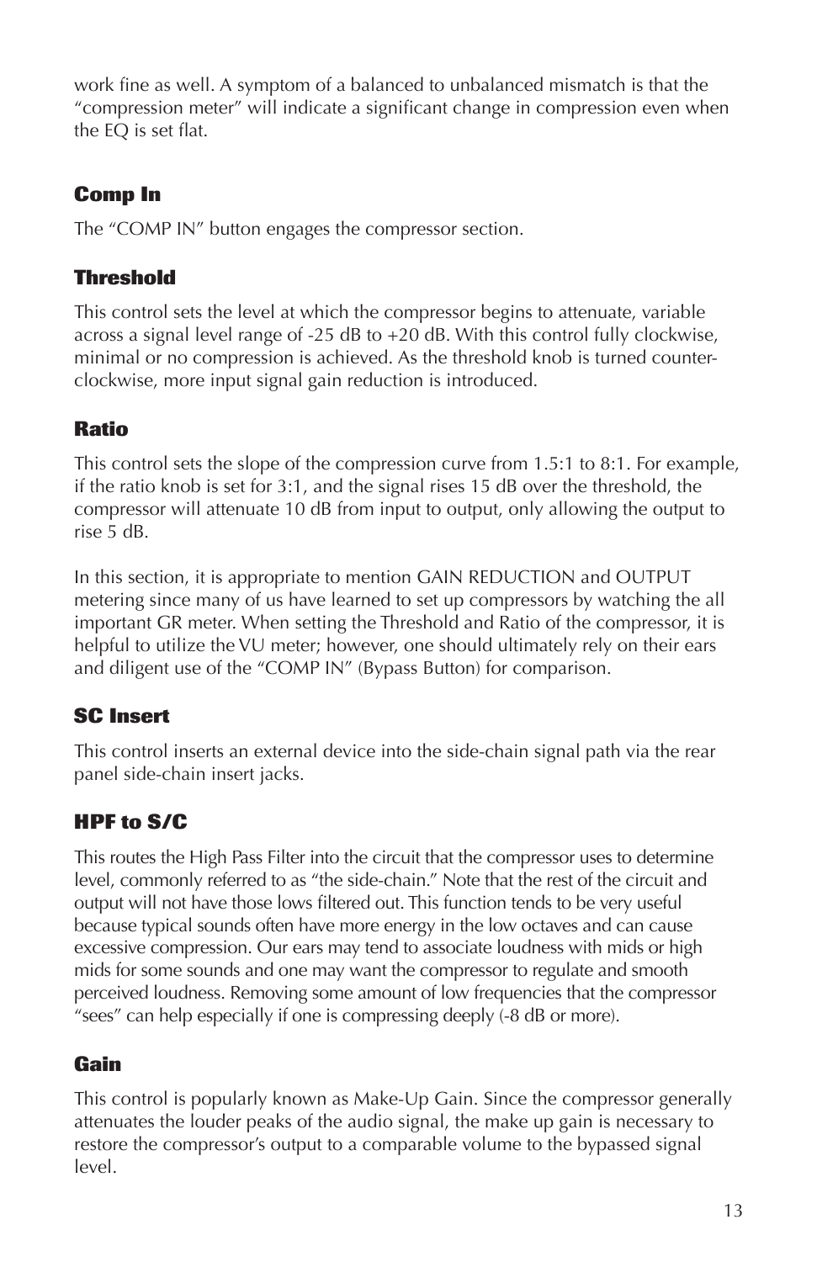work fine as well. A symptom of a balanced to unbalanced mismatch is that the "compression meter" will indicate a significant change in compression even when the EQ is set flat.

#### **Comp In**

The "COMP IN" button engages the compressor section.

#### **Threshold**

This control sets the level at which the compressor begins to attenuate, variable across a signal level range of -25 dB to +20 dB. With this control fully clockwise, minimal or no compression is achieved. As the threshold knob is turned counterclockwise, more input signal gain reduction is introduced.

#### **Ratio**

This control sets the slope of the compression curve from 1.5:1 to 8:1. For example, if the ratio knob is set for 3:1, and the signal rises 15 dB over the threshold, the compressor will attenuate 10 dB from input to output, only allowing the output to rise 5 dB.

In this section, it is appropriate to mention GAIN REDUCTION and OUTPUT metering since many of us have learned to set up compressors by watching the all important GR meter. When setting the Threshold and Ratio of the compressor, it is helpful to utilize the VU meter; however, one should ultimately rely on their ears and diligent use of the "COMP IN" (Bypass Button) for comparison.

# **SC Insert**

This control inserts an external device into the side-chain signal path via the rear panel side-chain insert jacks.

# **HPF to S/C**

This routes the High Pass Filter into the circuit that the compressor uses to determine level, commonly referred to as "the side-chain." Note that the rest of the circuit and output will not have those lows filtered out. This function tends to be very useful because typical sounds often have more energy in the low octaves and can cause excessive compression. Our ears may tend to associate loudness with mids or high mids for some sounds and one may want the compressor to regulate and smooth perceived loudness. Removing some amount of low frequencies that the compressor "sees" can help especially if one is compressing deeply (-8 dB or more).

#### **Gain**

This control is popularly known as Make-Up Gain. Since the compressor generally attenuates the louder peaks of the audio signal, the make up gain is necessary to restore the compressor's output to a comparable volume to the bypassed signal level.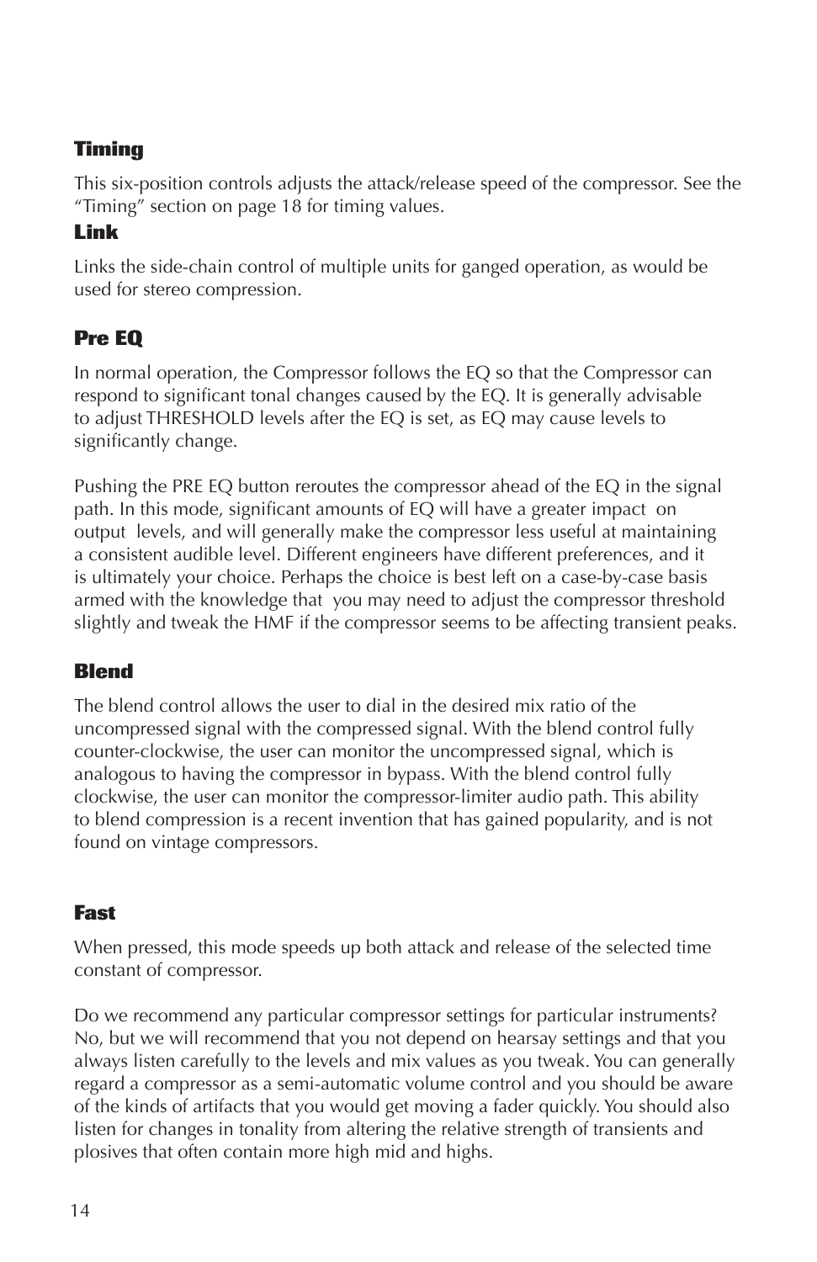#### **Timing**

This six-position controls adjusts the attack/release speed of the compressor. See the "Timing" section on page 18 for timing values.

#### **Link**

Links the side-chain control of multiple units for ganged operation, as would be used for stereo compression.

# **Pre EQ**

In normal operation, the Compressor follows the EQ so that the Compressor can respond to significant tonal changes caused by the EQ. It is generally advisable to adjust THRESHOLD levels after the EQ is set, as EQ may cause levels to significantly change.

Pushing the PRE EQ button reroutes the compressor ahead of the EQ in the signal path. In this mode, significant amounts of EQ will have a greater impact on output levels, and will generally make the compressor less useful at maintaining a consistent audible level. Different engineers have different preferences, and it is ultimately your choice. Perhaps the choice is best left on a case-by-case basis armed with the knowledge that you may need to adjust the compressor threshold slightly and tweak the HMF if the compressor seems to be affecting transient peaks.

#### **Blend**

The blend control allows the user to dial in the desired mix ratio of the uncompressed signal with the compressed signal. With the blend control fully counter-clockwise, the user can monitor the uncompressed signal, which is analogous to having the compressor in bypass. With the blend control fully clockwise, the user can monitor the compressor-limiter audio path. This ability to blend compression is a recent invention that has gained popularity, and is not found on vintage compressors.

#### **Fast**

When pressed, this mode speeds up both attack and release of the selected time constant of compressor.

Do we recommend any particular compressor settings for particular instruments? No, but we will recommend that you not depend on hearsay settings and that you always listen carefully to the levels and mix values as you tweak. You can generally regard a compressor as a semi-automatic volume control and you should be aware of the kinds of artifacts that you would get moving a fader quickly. You should also listen for changes in tonality from altering the relative strength of transients and plosives that often contain more high mid and highs.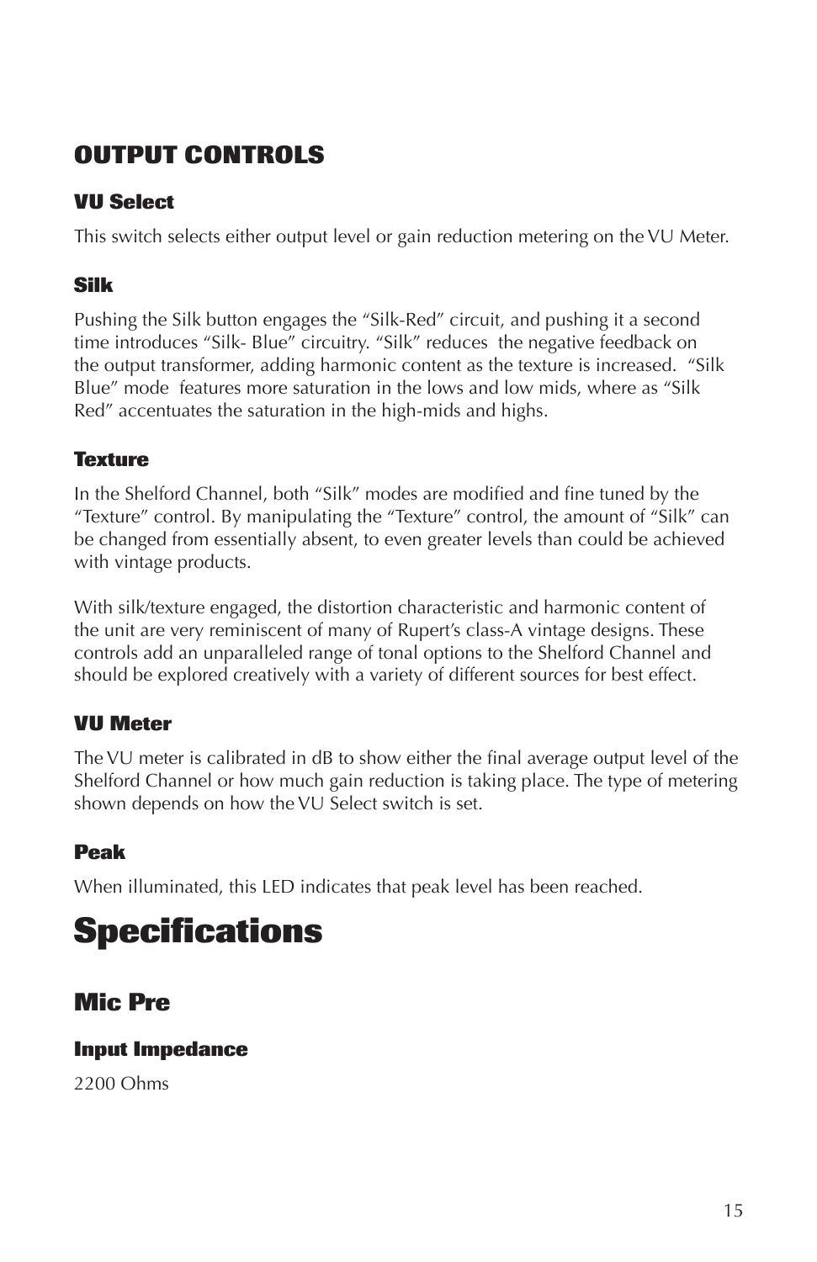# **OUTPUT CONTROLS**

#### **VU Select**

This switch selects either output level or gain reduction metering on the VU Meter.

#### **Silk**

Pushing the Silk button engages the "Silk-Red" circuit, and pushing it a second time introduces "Silk- Blue" circuitry. "Silk" reduces the negative feedback on the output transformer, adding harmonic content as the texture is increased. "Silk Blue" mode features more saturation in the lows and low mids, where as "Silk Red" accentuates the saturation in the high-mids and highs.

#### **Texture**

In the Shelford Channel, both "Silk" modes are modified and fine tuned by the "Texture" control. By manipulating the "Texture" control, the amount of "Silk" can be changed from essentially absent, to even greater levels than could be achieved with vintage products.

With silk/texture engaged, the distortion characteristic and harmonic content of the unit are very reminiscent of many of Rupert's class-A vintage designs. These controls add an unparalleled range of tonal options to the Shelford Channel and should be explored creatively with a variety of different sources for best effect.

#### **VU Meter**

The VU meter is calibrated in dB to show either the final average output level of the Shelford Channel or how much gain reduction is taking place. The type of metering shown depends on how the VU Select switch is set.

#### **Peak**

When illuminated, this LED indicates that peak level has been reached.

# **Specifications**

# **Mic Pre**

#### **Input Impedance**

2200 Ohms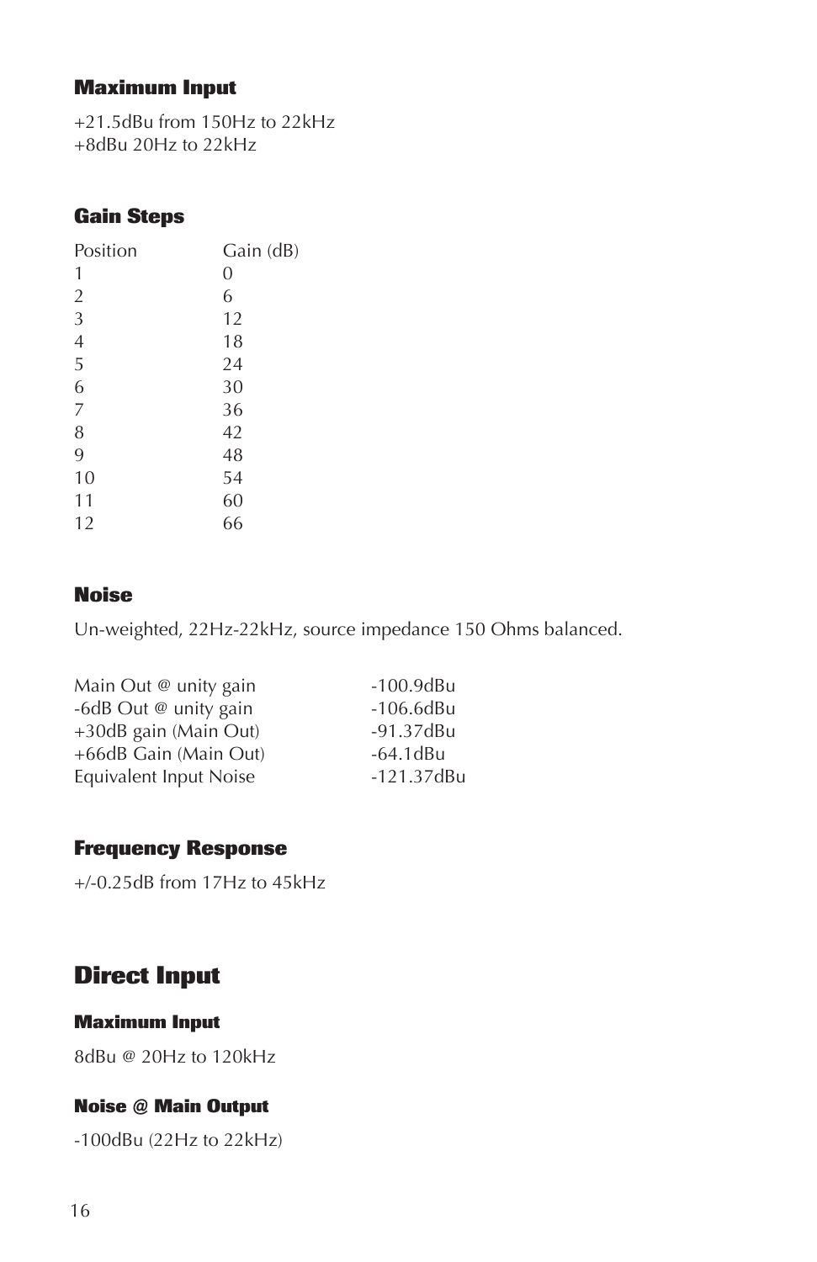#### **Maximum Input**

+21.5dBu from 150Hz to 22kHz +8dBu 20Hz to 22kHz

#### **Gain Steps**

| Position       | Gain (dB) |
|----------------|-----------|
| 1              | 0         |
| $\overline{2}$ | 6         |
| 3              | 12        |
| $\overline{4}$ | 18        |
| 5              | 24        |
| 6              | 30        |
| $\overline{7}$ | 36        |
| 8              | 42        |
| 9              | 48        |
| 10             | 54        |
| 11             | 60        |
| 12             | 66        |

#### **Noise**

Un-weighted, 22Hz-22kHz, source impedance 150 Ohms balanced.

| $-100.9$ dBu |
|--------------|
| $-106.6$ dBu |
| $-91.37dBu$  |
| $-64.1$ dBu  |
| $-121.37dBu$ |
|              |

#### **Frequency Response**

+/-0.25dB from 17Hz to 45kHz

# **Direct Input**

#### **Maximum Input**

8dBu @ 20Hz to 120kHz

#### **Noise @ Main Output**

-100dBu (22Hz to 22kHz)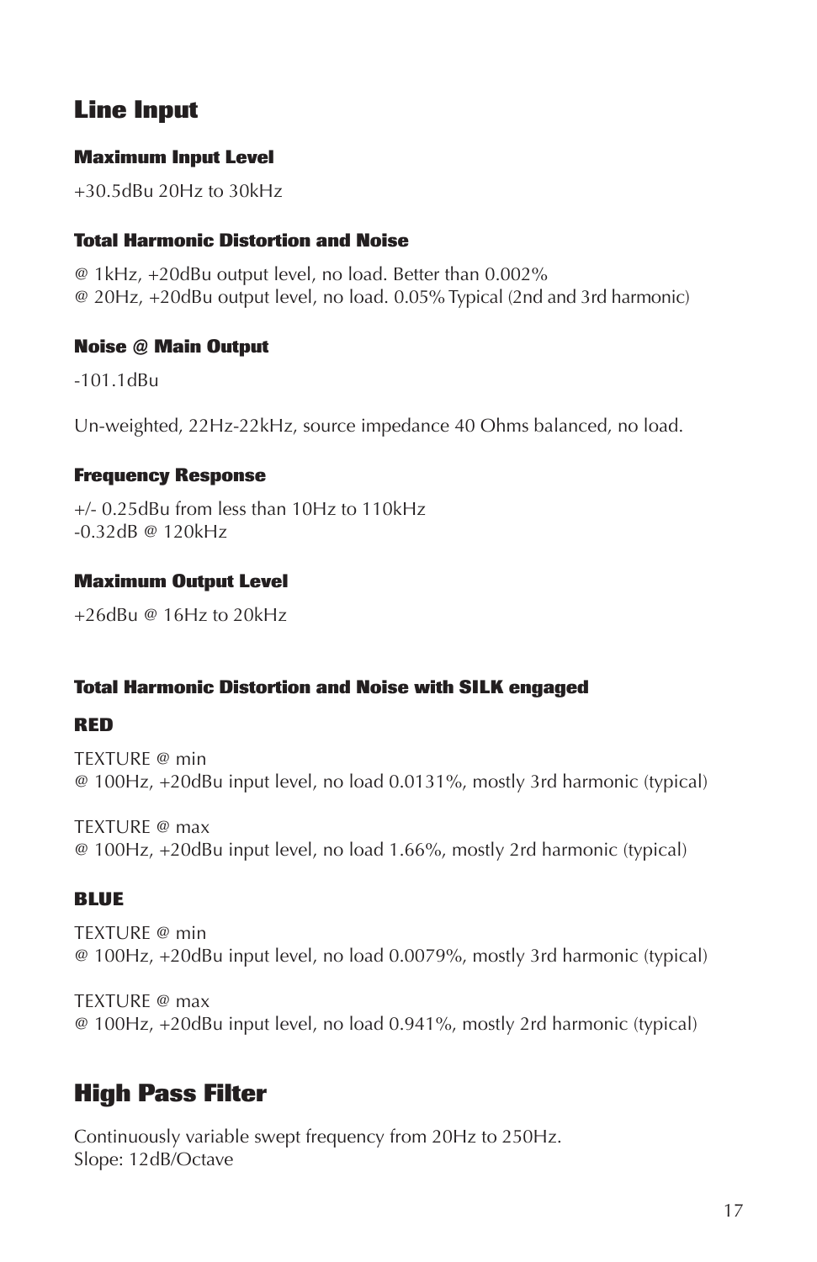# **Line Input**

#### **Maximum Input Level**

+30.5dBu 20Hz to 30kHz

#### **Total Harmonic Distortion and Noise**

@ 1kHz, +20dBu output level, no load. Better than 0.002% @ 20Hz, +20dBu output level, no load. 0.05% Typical (2nd and 3rd harmonic)

#### **Noise @ Main Output**

-101.1dBu

Un-weighted, 22Hz-22kHz, source impedance 40 Ohms balanced, no load.

#### **Frequency Response**

+/- 0.25dBu from less than 10Hz to 110kHz -0.32dB @ 120kHz

#### **Maximum Output Level**

+26dBu @ 16Hz to 20kHz

#### **Total Harmonic Distortion and Noise with SILK engaged**

#### **RED**

TEXTURE @ min @ 100Hz, +20dBu input level, no load 0.0131%, mostly 3rd harmonic (typical)

TEXTURE @ max @ 100Hz, +20dBu input level, no load 1.66%, mostly 2rd harmonic (typical)

#### **BLUE**

TEXTURE @ min @ 100Hz, +20dBu input level, no load 0.0079%, mostly 3rd harmonic (typical)

TEXTURE @ max @ 100Hz, +20dBu input level, no load 0.941%, mostly 2rd harmonic (typical)

# **High Pass Filter**

Continuously variable swept frequency from 20Hz to 250Hz. Slope: 12dB/Octave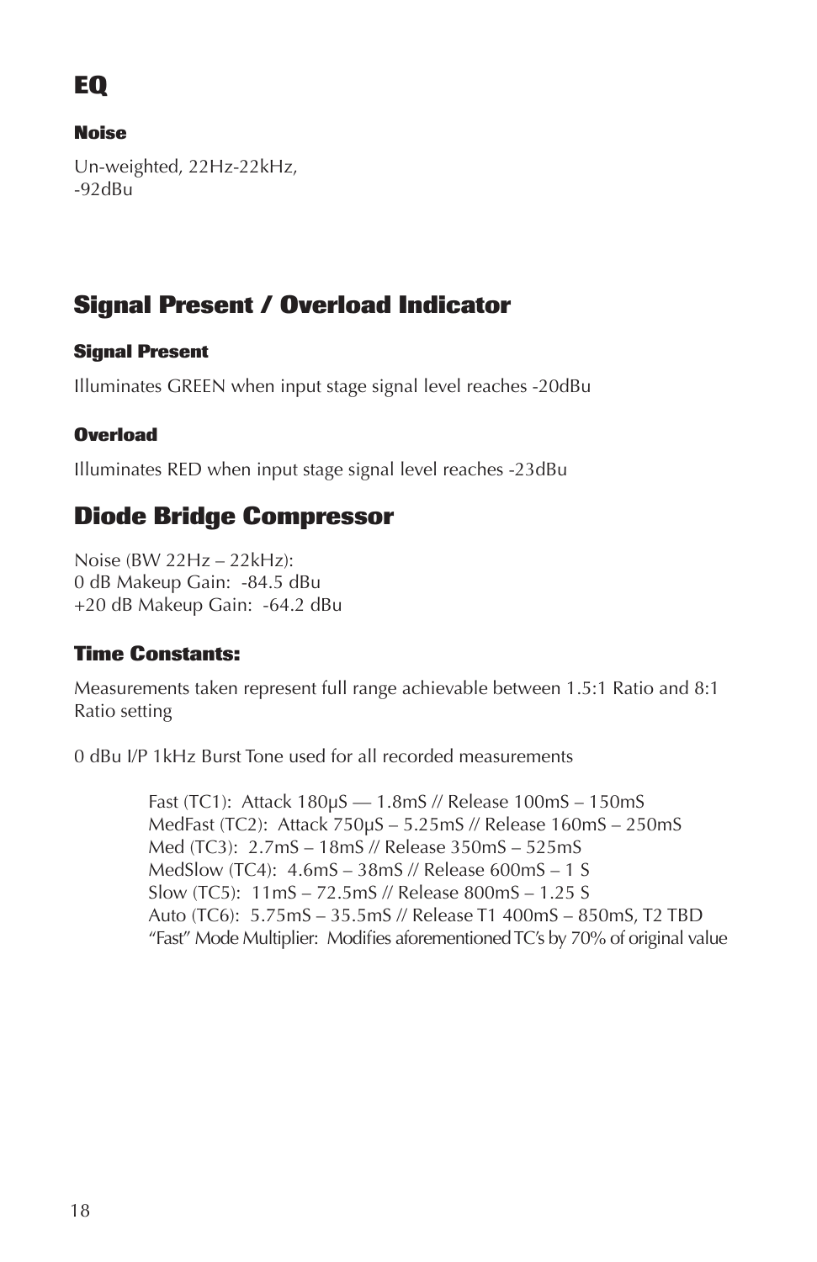# **EQ**

#### **Noise**

Un-weighted, 22Hz-22kHz, -92dBu

# **Signal Present / Overload Indicator**

#### **Signal Present**

Illuminates GREEN when input stage signal level reaches -20dBu

#### **Overload**

Illuminates RED when input stage signal level reaches -23dBu

# **Diode Bridge Compressor**

Noise (BW 22Hz – 22kHz): 0 dB Makeup Gain: -84.5 dBu +20 dB Makeup Gain: -64.2 dBu

#### **Time Constants:**

Measurements taken represent full range achievable between 1.5:1 Ratio and 8:1 Ratio setting

0 dBu I/P 1kHz Burst Tone used for all recorded measurements

Fast (TC1): Attack 180µS — 1.8mS // Release 100mS – 150mS MedFast (TC2): Attack 750µS – 5.25mS // Release 160mS – 250mS Med (TC3): 2.7mS – 18mS // Release 350mS – 525mS MedSlow (TC4): 4.6mS – 38mS // Release 600mS – 1 S Slow (TC5): 11mS – 72.5mS // Release 800mS – 1.25 S Auto (TC6): 5.75mS – 35.5mS // Release T1 400mS – 850mS, T2 TBD "Fast" Mode Multiplier: Modifies aforementioned TC's by 70% of original value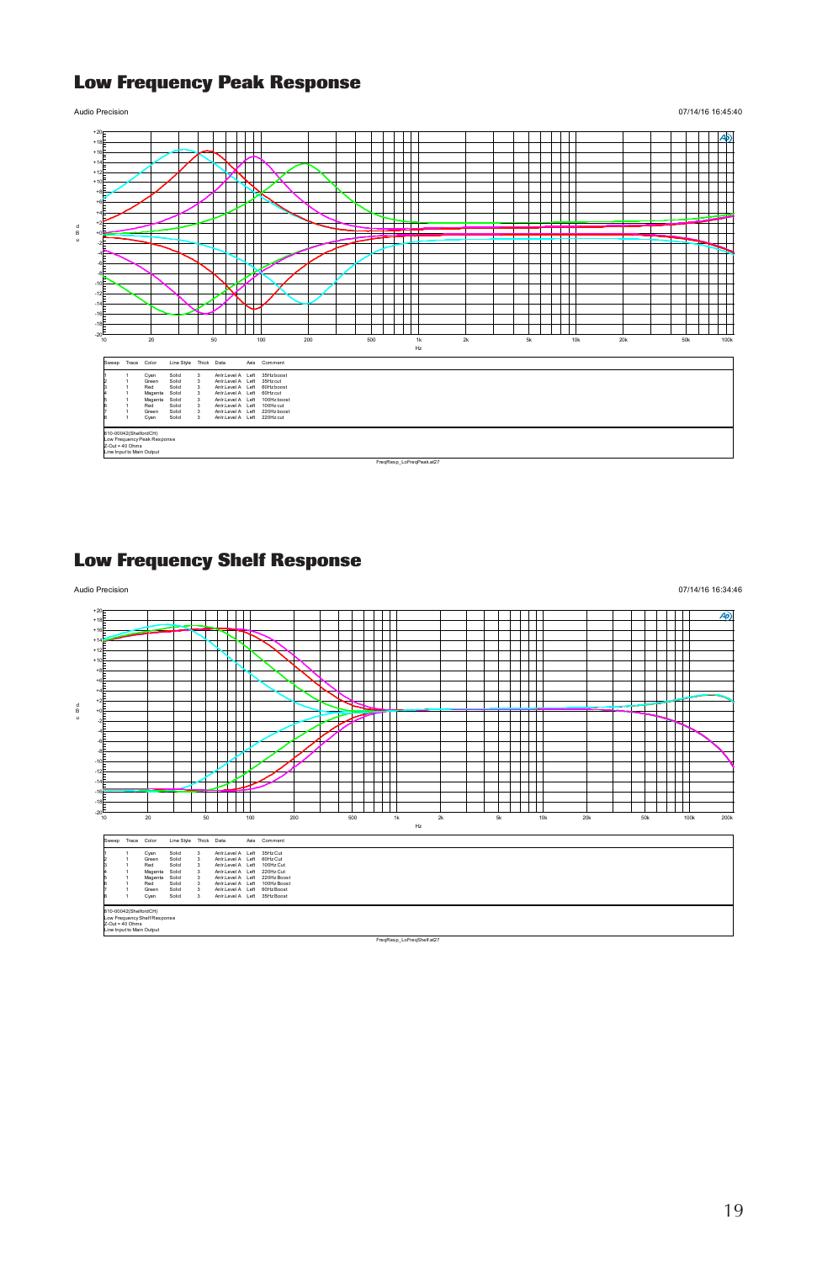#### **Low Frequency Peak Response**

```
Audio Precision 07/14/16 16:45:40
```


#### **Low Frequency Shelf Response**

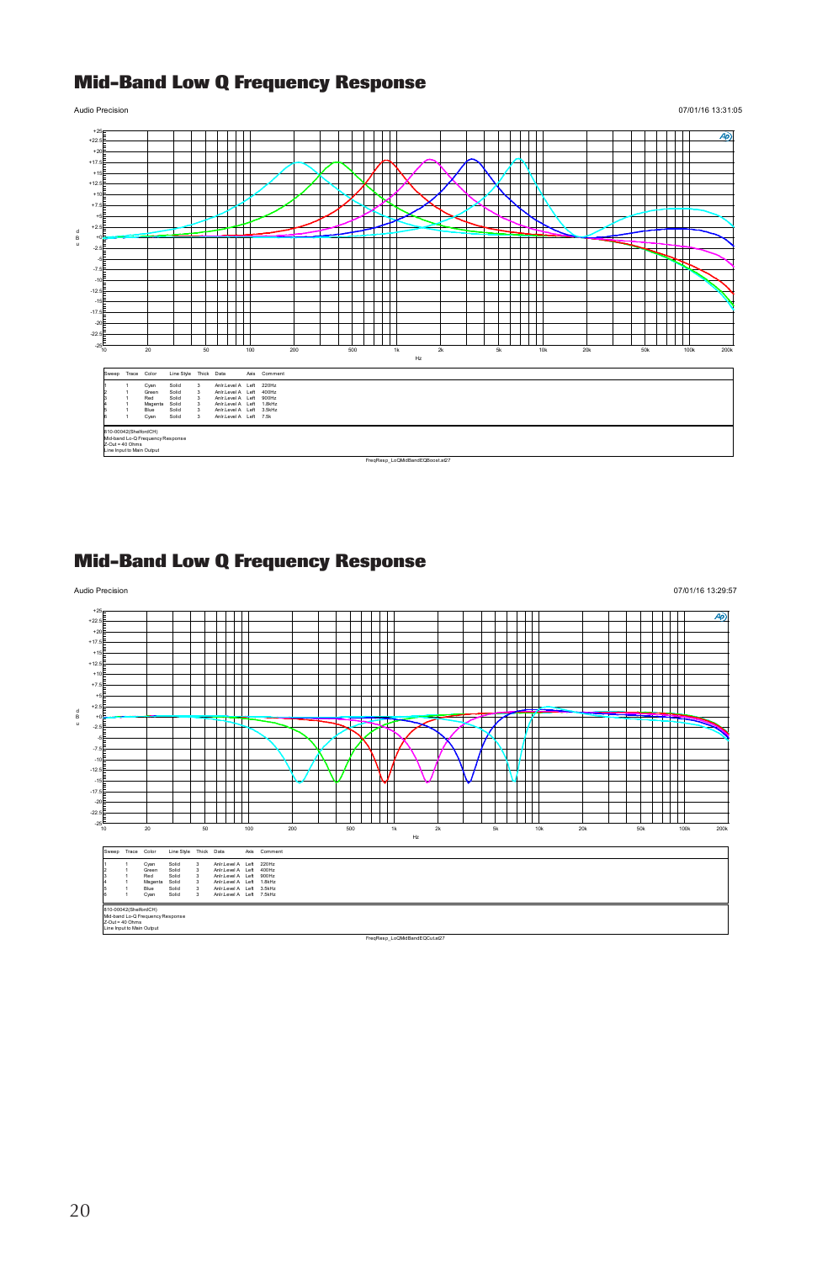#### **Mid-Band Low Q Frequency Response**



#### **Mid-Band Low Q Frequency Response**

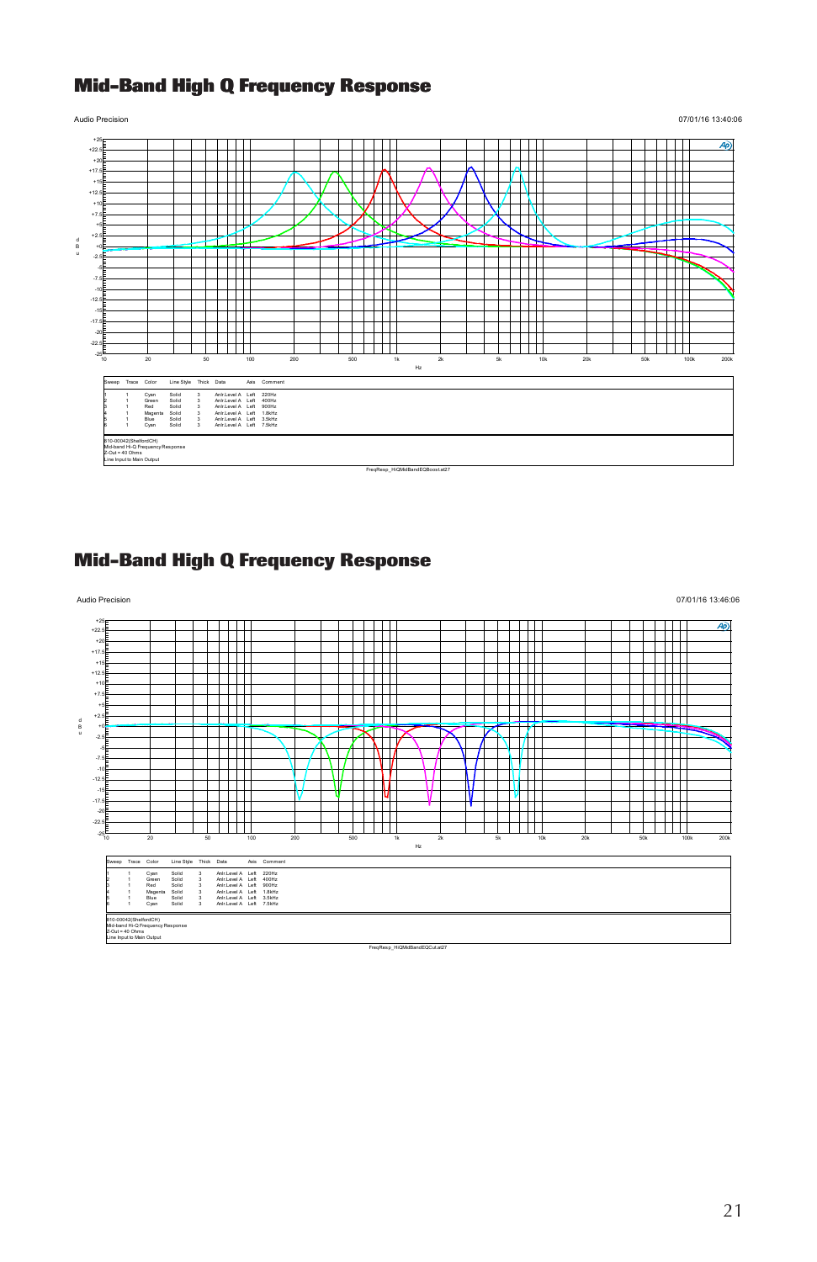#### **Mid-Band High Q Frequency Response**

```
Audio Precision 07/01/16 13:40:06
```


#### **Mid-Band High Q Frequency Response**

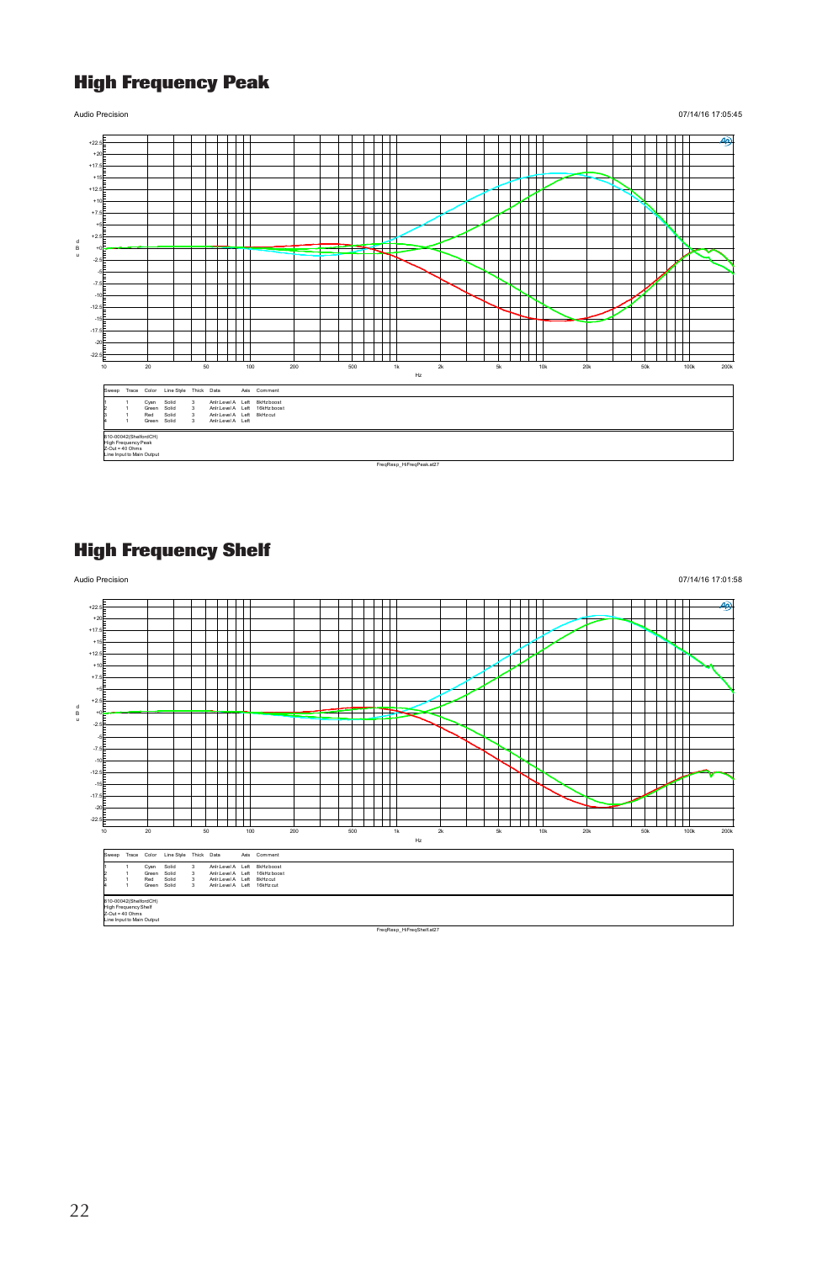#### **High Frequency Peak**



#### **High Frequency Shelf**

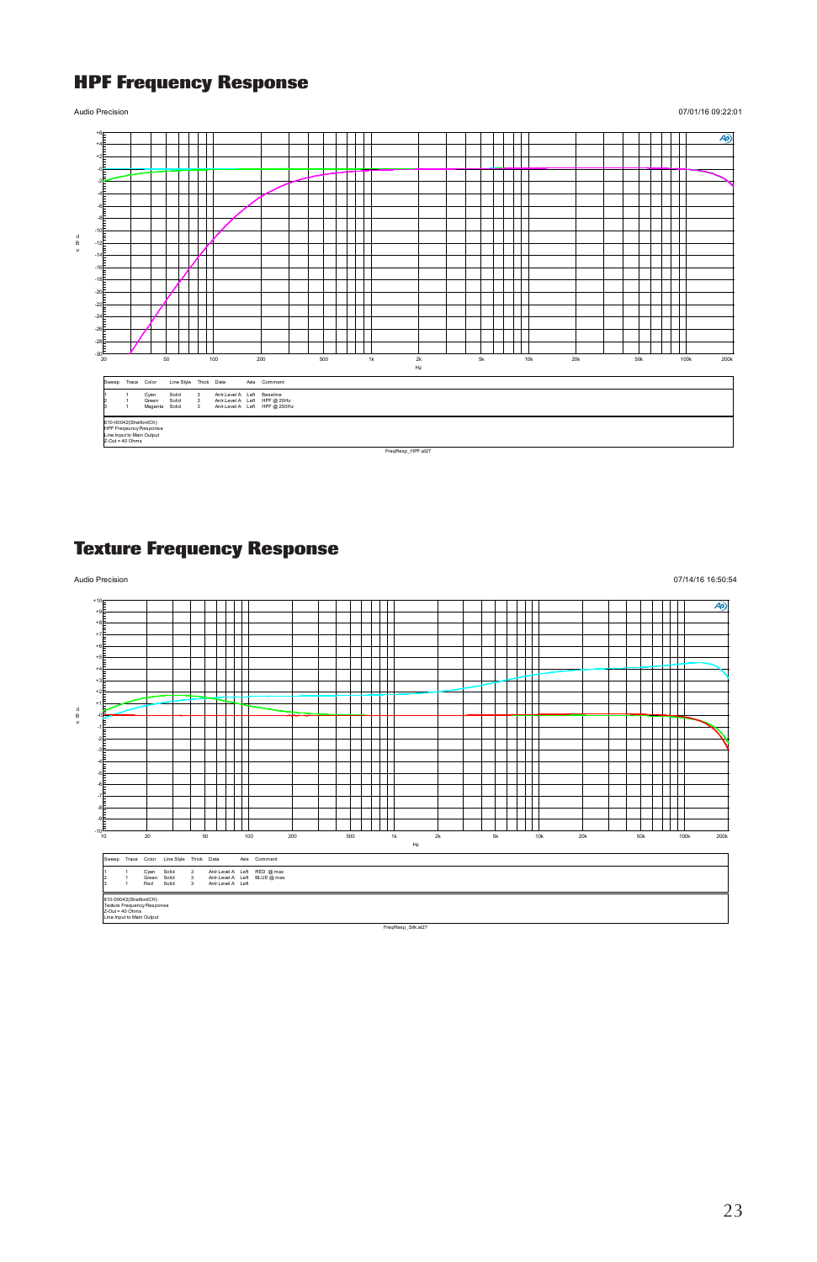#### **HPF Frequency Response**







#### **Texture Frequency Response**